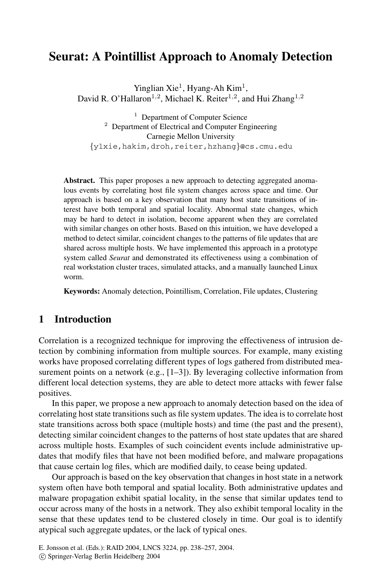# **Seurat: A Pointillist Approach to Anomaly Detection**

Yinglian Xie<sup>1</sup>, Hyang-Ah Kim<sup>1</sup>, David R. O'Hallaron<sup>1,2</sup>, Michael K. Reiter<sup>1,2</sup>, and Hui Zhang<sup>1,2</sup>

<sup>1</sup> Department of Computer Science <sup>2</sup> Department of Electrical and Computer Engineering Carnegie Mellon University *{*ylxie,hakim,droh,reiter,hzhang*}*@cs.cmu.edu

Abstract. This paper proposes a new approach to detecting aggregated anomalous events by correlating host file system changes across space and time. Our approach is based on a key observation that many host state transitions of interest have both temporal and spatial locality. Abnormal state changes, which may be hard to detect in isolation, become apparent when they are correlated with similar changes on other hosts. Based on this intuition, we have developed a method to detect similar, coincident changes to the patterns of file updates that are shared across multiple hosts. We have implemented this approach in a prototype system called *Seurat* and demonstrated its effectiveness using a combination of real workstation cluster traces, simulated attacks, and a manually launched Linux worm.

**Keywords:** Anomaly detection, Pointillism, Correlation, File updates, Clustering

### **1 Introduction**

Correlation is a recognized technique for improving the effectiveness of intrusion detection by combining information from multiple sources. For example, many existing works have proposed correlating different types of logs gathered from distributed measurement points on a network (e.g., [1–3]). By leveraging collective information from different local detection systems, they are able to detect more attacks with fewer false positives.

In this paper, we propose a new approach to anomaly detection based on the idea of correlating host state transitions such as file system updates. The idea is to correlate host state transitions across both space (multiple hosts) and time (the past and the present), detecting similar coincident changes to the patterns of host state updates that are shared across multiple hosts. Examples of such coincident events include administrative updates that modify files that have not been modified before, and malware propagations that cause certain log files, which are modified daily, to cease being updated.

Our approach is based on the key observation that changes in host state in a network system often have both temporal and spatial locality. Both administrative updates and malware propagation exhibit spatial locality, in the sense that similar updates tend to occur across many of the hosts in a network. They also exhibit temporal locality in the sense that these updates tend to be clustered closely in time. Our goal is to identify atypical such aggregate updates, or the lack of typical ones.

E. Jonsson et al. (Eds.): RAID 2004, LNCS 3224, pp. 238–257, 2004.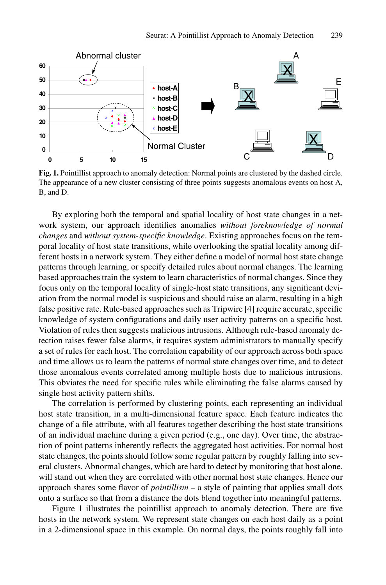

**Fig. 1.** Pointillist approach to anomaly detection: Normal points are clustered by the dashed circle. The appearance of a new cluster consisting of three points suggests anomalous events on host A, B, and D.

By exploring both the temporal and spatial locality of host state changes in a network system, our approach identifies anomalies *without foreknowledge of normal changes* and *without system-specific knowledge*. Existing approaches focus on the temporal locality of host state transitions, while overlooking the spatial locality among different hosts in a network system. They either define a model of normal host state change patterns through learning, or specify detailed rules about normal changes. The learning based approaches train the system to learn characteristics of normal changes. Since they focus only on the temporal locality of single-host state transitions, any significant deviation from the normal model is suspicious and should raise an alarm, resulting in a high false positive rate. Rule-based approaches such as Tripwire [4] require accurate, specific knowledge of system configurations and daily user activity patterns on a specific host. Violation of rules then suggests malicious intrusions. Although rule-based anomaly detection raises fewer false alarms, it requires system administrators to manually specify a set of rules for each host. The correlation capability of our approach across both space and time allows us to learn the patterns of normal state changes over time, and to detect those anomalous events correlated among multiple hosts due to malicious intrusions. This obviates the need for specific rules while eliminating the false alarms caused by single host activity pattern shifts.

The correlation is performed by clustering points, each representing an individual host state transition, in a multi-dimensional feature space. Each feature indicates the change of a file attribute, with all features together describing the host state transitions of an individual machine during a given period (e.g., one day). Over time, the abstraction of point patterns inherently reflects the aggregated host activities. For normal host state changes, the points should follow some regular pattern by roughly falling into several clusters. Abnormal changes, which are hard to detect by monitoring that host alone, will stand out when they are correlated with other normal host state changes. Hence our approach shares some flavor of *pointillism* – a style of painting that applies small dots onto a surface so that from a distance the dots blend together into meaningful patterns.

Figure 1 illustrates the pointillist approach to anomaly detection. There are five hosts in the network system. We represent state changes on each host daily as a point in a 2-dimensional space in this example. On normal days, the points roughly fall into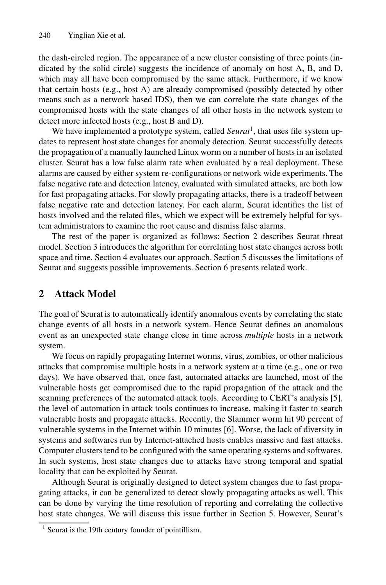the dash-circled region. The appearance of a new cluster consisting of three points (indicated by the solid circle) suggests the incidence of anomaly on host A, B, and D, which may all have been compromised by the same attack. Furthermore, if we know that certain hosts (e.g., host A) are already compromised (possibly detected by other means such as a network based IDS), then we can correlate the state changes of the compromised hosts with the state changes of all other hosts in the network system to detect more infected hosts (e.g., host B and D).

We have implemented a prototype system, called *Seurat*<sup>1</sup>, that uses file system updates to represent host state changes for anomaly detection. Seurat successfully detects the propagation of a manually launched Linux worm on a number of hosts in an isolated cluster. Seurat has a low false alarm rate when evaluated by a real deployment. These alarms are caused by either system re-configurations or network wide experiments. The false negative rate and detection latency, evaluated with simulated attacks, are both low for fast propagating attacks. For slowly propagating attacks, there is a tradeoff between false negative rate and detection latency. For each alarm, Seurat identifies the list of hosts involved and the related files, which we expect will be extremely helpful for system administrators to examine the root cause and dismiss false alarms.

The rest of the paper is organized as follows: Section 2 describes Seurat threat model. Section 3 introduces the algorithm for correlating host state changes across both space and time. Section 4 evaluates our approach. Section 5 discusses the limitations of Seurat and suggests possible improvements. Section 6 presents related work.

## **2 Attack Model**

The goal of Seurat is to automatically identify anomalous events by correlating the state change events of all hosts in a network system. Hence Seurat defines an anomalous event as an unexpected state change close in time across *multiple* hosts in a network system.

We focus on rapidly propagating Internet worms, virus, zombies, or other malicious attacks that compromise multiple hosts in a network system at a time (e.g., one or two days). We have observed that, once fast, automated attacks are launched, most of the vulnerable hosts get compromised due to the rapid propagation of the attack and the scanning preferences of the automated attack tools. According to CERT's analysis [5], the level of automation in attack tools continues to increase, making it faster to search vulnerable hosts and propagate attacks. Recently, the Slammer worm hit 90 percent of vulnerable systems in the Internet within 10 minutes [6]. Worse, the lack of diversity in systems and softwares run by Internet-attached hosts enables massive and fast attacks. Computer clusters tend to be configured with the same operating systems and softwares. In such systems, host state changes due to attacks have strong temporal and spatial locality that can be exploited by Seurat.

Although Seurat is originally designed to detect system changes due to fast propagating attacks, it can be generalized to detect slowly propagating attacks as well. This can be done by varying the time resolution of reporting and correlating the collective host state changes. We will discuss this issue further in Section 5. However, Seurat's

 $1$  Seurat is the 19th century founder of pointillism.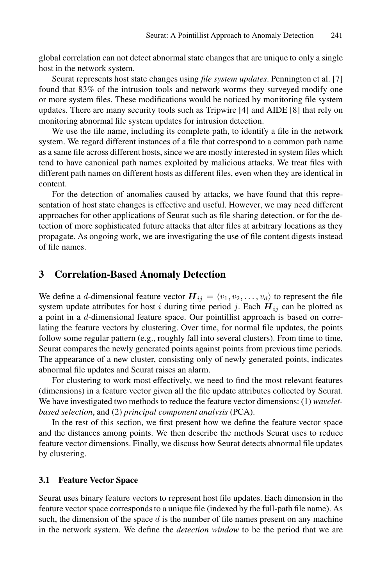global correlation can not detect abnormal state changes that are unique to only a single host in the network system.

Seurat represents host state changes using *file system updates*. Pennington et al. [7] found that 83% of the intrusion tools and network worms they surveyed modify one or more system files. These modifications would be noticed by monitoring file system updates. There are many security tools such as Tripwire [4] and AIDE [8] that rely on monitoring abnormal file system updates for intrusion detection.

We use the file name, including its complete path, to identify a file in the network system. We regard different instances of a file that correspond to a common path name as a same file across different hosts, since we are mostly interested in system files which tend to have canonical path names exploited by malicious attacks. We treat files with different path names on different hosts as different files, even when they are identical in content.

For the detection of anomalies caused by attacks, we have found that this representation of host state changes is effective and useful. However, we may need different approaches for other applications of Seurat such as file sharing detection, or for the detection of more sophisticated future attacks that alter files at arbitrary locations as they propagate. As ongoing work, we are investigating the use of file content digests instead of file names.

#### **3 Correlation-Based Anomaly Detection**

We define a *d*-dimensional feature vector  $H_{ij} = \langle v_1, v_2, \dots, v_d \rangle$  to represent the file system update attributes for host i during time period j. Each  $H_{ij}$  can be plotted as a point in a d-dimensional feature space. Our pointillist approach is based on correlating the feature vectors by clustering. Over time, for normal file updates, the points follow some regular pattern (e.g., roughly fall into several clusters). From time to time, Seurat compares the newly generated points against points from previous time periods. The appearance of a new cluster, consisting only of newly generated points, indicates abnormal file updates and Seurat raises an alarm.

For clustering to work most effectively, we need to find the most relevant features (dimensions) in a feature vector given all the file update attributes collected by Seurat. We have investigated two methods to reduce the feature vector dimensions: (1) *waveletbased selection*, and (2) *principal component analysis* (PCA).

In the rest of this section, we first present how we define the feature vector space and the distances among points. We then describe the methods Seurat uses to reduce feature vector dimensions. Finally, we discuss how Seurat detects abnormal file updates by clustering.

#### **3.1 Feature Vector Space**

Seurat uses binary feature vectors to represent host file updates. Each dimension in the feature vector space corresponds to a unique file (indexed by the full-path file name). As such, the dimension of the space  $d$  is the number of file names present on any machine in the network system. We define the *detection window* to be the period that we are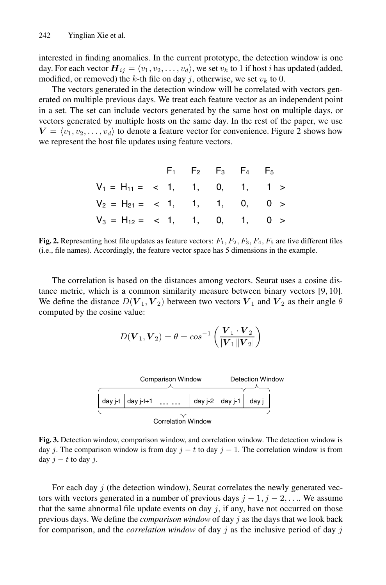interested in finding anomalies. In the current prototype, the detection window is one day. For each vector  $\boldsymbol{H}_{ij} = \langle v_1, v_2, \dots, v_d \rangle$ , we set  $v_k$  to 1 if host *i* has updated (added, modified, or removed) the k-th file on day j, otherwise, we set  $v_k$  to 0.

The vectors generated in the detection window will be correlated with vectors generated on multiple previous days. We treat each feature vector as an independent point in a set. The set can include vectors generated by the same host on multiple days, or vectors generated by multiple hosts on the same day. In the rest of the paper, we use  $V = \langle v_1, v_2, \dots, v_d \rangle$  to denote a feature vector for convenience. Figure 2 shows how we represent the host file updates using feature vectors.

|                                    | $F_1$ $F_2$ $F_3$ $F_4$ $F_5$ |  |  |
|------------------------------------|-------------------------------|--|--|
| $V_1 = H_{11} =$ < 1, 1, 0, 1, 1 > |                               |  |  |
| $V_2 = H_{21} =$ < 1, 1, 1, 0, 0 > |                               |  |  |
| $V_3 = H_{12} =$ < 1, 1, 0, 1, 0 > |                               |  |  |

**Fig. 2.** Representing host file updates as feature vectors:  $F_1$ ,  $F_2$ ,  $F_3$ ,  $F_4$ ,  $F_5$  are five different files (i.e., file names). Accordingly, the feature vector space has 5 dimensions in the example.

The correlation is based on the distances among vectors. Seurat uses a cosine distance metric, which is a common similarity measure between binary vectors [9, 10]. We define the distance  $D(V_1, V_2)$  between two vectors  $V_1$  and  $V_2$  as their angle  $\theta$ computed by the cosine value:

$$
D(\boldsymbol{V}_1, \boldsymbol{V}_2) = \theta = \cos^{-1}\left(\frac{\boldsymbol{V}_1 \cdot \boldsymbol{V}_2}{|\boldsymbol{V}_1||\boldsymbol{V}_2|}\right)
$$

|                           | <b>Comparison Window</b>  |  |  |                         | <b>Detection Window</b> |  |
|---------------------------|---------------------------|--|--|-------------------------|-------------------------|--|
|                           | day j-t $ $ day j-t+1 $ $ |  |  | day j-2 $ $ day j-1 $ $ | day i                   |  |
| <b>Correlation Window</b> |                           |  |  |                         |                         |  |

**Fig. 3.** Detection window, comparison window, and correlation window. The detection window is day *j*. The comparison window is from day  $j - t$  to day  $j - 1$ . The correlation window is from day *j − t* to day *j*.

For each day  $j$  (the detection window), Seurat correlates the newly generated vectors with vectors generated in a number of previous days  $j - 1$ ,  $j - 2$ ,.... We assume that the same abnormal file update events on day  $j$ , if any, have not occurred on those previous days. We define the *comparison window* of day j as the days that we look back for comparison, and the *correlation window* of day j as the inclusive period of day j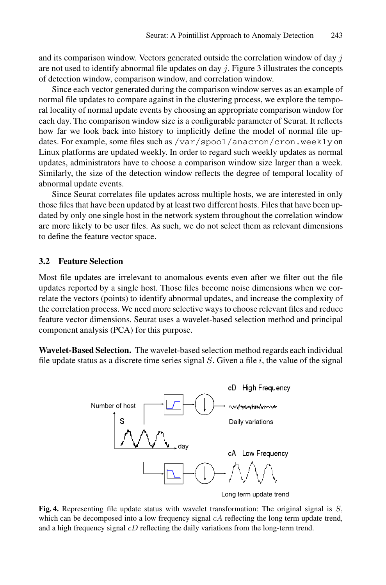and its comparison window. Vectors generated outside the correlation window of day  $j$ are not used to identify abnormal file updates on day  $j$ . Figure 3 illustrates the concepts of detection window, comparison window, and correlation window.

Since each vector generated during the comparison window serves as an example of normal file updates to compare against in the clustering process, we explore the temporal locality of normal update events by choosing an appropriate comparison window for each day. The comparison window size is a configurable parameter of Seurat. It reflects how far we look back into history to implicitly define the model of normal file updates. For example, some files such as /var/spool/anacron/cron.weekly on Linux platforms are updated weekly. In order to regard such weekly updates as normal updates, administrators have to choose a comparison window size larger than a week. Similarly, the size of the detection window reflects the degree of temporal locality of abnormal update events.

Since Seurat correlates file updates across multiple hosts, we are interested in only those files that have been updated by at least two different hosts. Files that have been updated by only one single host in the network system throughout the correlation window are more likely to be user files. As such, we do not select them as relevant dimensions to define the feature vector space.

#### **3.2 Feature Selection**

Most file updates are irrelevant to anomalous events even after we filter out the file updates reported by a single host. Those files become noise dimensions when we correlate the vectors (points) to identify abnormal updates, and increase the complexity of the correlation process. We need more selective ways to choose relevant files and reduce feature vector dimensions. Seurat uses a wavelet-based selection method and principal component analysis (PCA) for this purpose.

**Wavelet-Based Selection.** The wavelet-based selection method regards each individual file update status as a discrete time series signal  $S$ . Given a file  $i$ , the value of the signal



**Fig. 4.** Representing file update status with wavelet transformation: The original signal is *S*, which can be decomposed into a low frequency signal *cA* reflecting the long term update trend, and a high frequency signal *cD* reflecting the daily variations from the long-term trend.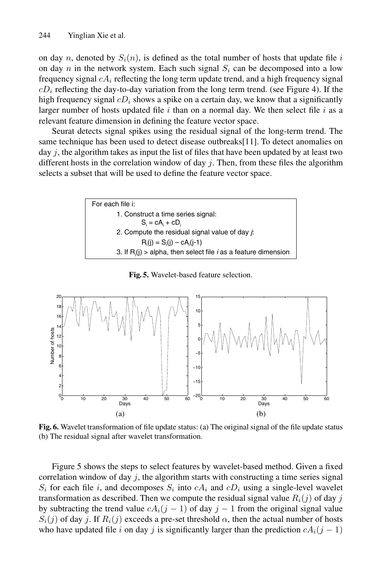on day *n*, denoted by  $S_i(n)$ , is defined as the total number of hosts that update file *i* on day n in the network system. Each such signal  $S_i$  can be decomposed into a low frequency signal  $cA_i$  reflecting the long term update trend, and a high frequency signal  $cD_i$  reflecting the day-to-day variation from the long term trend. (see Figure 4). If the high frequency signal  $cD_i$  shows a spike on a certain day, we know that a significantly larger number of hosts updated file  $i$  than on a normal day. We then select file  $i$  as a relevant feature dimension in defining the feature vector space.

Seurat detects signal spikes using the residual signal of the long-term trend. The same technique has been used to detect disease outbreaks[11]. To detect anomalies on day  $j$ , the algorithm takes as input the list of files that have been updated by at least two different hosts in the correlation window of day  $j$ . Then, from these files the algorithm selects a subset that will be used to define the feature vector space.



**Fig. 5.** Wavelet-based feature selection.



**Fig. 6.** Wavelet transformation of file update status: (a) The original signal of the file update status (b) The residual signal after wavelet transformation.

Figure 5 shows the steps to select features by wavelet-based method. Given a fixed correlation window of day  $j$ , the algorithm starts with constructing a time series signal  $S_i$  for each file i, and decomposes  $S_i$  into  $cA_i$  and  $cD_i$  using a single-level wavelet transformation as described. Then we compute the residual signal value  $R_i(j)$  of day j by subtracting the trend value  $cA_i(j - 1)$  of day  $j - 1$  from the original signal value  $S_i(j)$  of day j. If  $R_i(j)$  exceeds a pre-set threshold  $\alpha$ , then the actual number of hosts who have updated file i on day j is significantly larger than the prediction  $cA_i(j - 1)$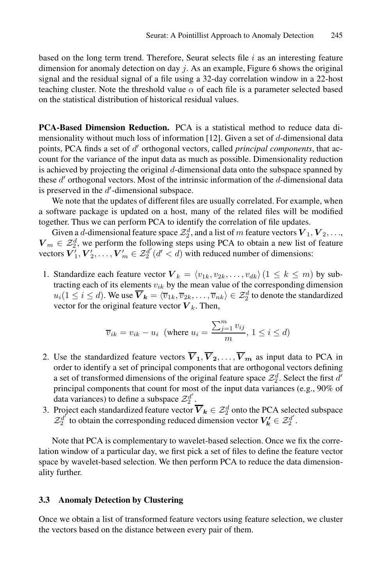based on the long term trend. Therefore, Seurat selects file  $i$  as an interesting feature dimension for anomaly detection on day  $j$ . As an example, Figure 6 shows the original signal and the residual signal of a file using a 32-day correlation window in a 22-host teaching cluster. Note the threshold value  $\alpha$  of each file is a parameter selected based on the statistical distribution of historical residual values.

**PCA-Based Dimension Reduction.** PCA is a statistical method to reduce data dimensionality without much loss of information [12]. Given a set of  $d$ -dimensional data points, PCA finds a set of d' orthogonal vectors, called *principal components*, that account for the variance of the input data as much as possible. Dimensionality reduction is achieved by projecting the original  $d$ -dimensional data onto the subspace spanned by these  $d'$  orthogonal vectors. Most of the intrinsic information of the  $d$ -dimensional data is preserved in the  $d'$ -dimensional subspace.

We note that the updates of different files are usually correlated. For example, when a software package is updated on a host, many of the related files will be modified together. Thus we can perform PCA to identify the correlation of file updates.

Given a *d*-dimensional feature space  $\mathcal{Z}_2^d$ , and a list of m feature vectors  $V_1, V_2, \ldots$  $V_m \in \mathcal{Z}_2^d$ , we perform the following steps using PCA to obtain a new list of feature vectors  $\overrightarrow{V_1}, V_2', \ldots, V_m' \in \mathcal{Z}_2^{d'}(d' < d)$  with reduced number of dimensions:

1. Standardize each feature vector  $V_k = \langle v_{1k}, v_{2k}, \ldots, v_{dk} \rangle$  ( $1 \leq k \leq m$ ) by subtracting each of its elements  $v_{ik}$  by the mean value of the corresponding dimension  $u_i(1 \leq i \leq d)$ . We use  $\overline{V}_k = \langle \overline{v}_{1k}, \overline{v}_{2k}, \ldots, \overline{v}_{nk} \rangle \in \mathcal{Z}_2^d$  to denote the standardized vector for the original feature vector  $V_k$ . Then,

$$
\overline{v}_{ik} = v_{ik} - u_i \quad \text{(where } u_i = \frac{\sum_{j=1}^{m} v_{ij}}{m}, \ 1 \le i \le d)
$$

- 2. Use the standardized feature vectors  $\overline{V}_1, \overline{V}_2, \ldots, \overline{V}_m$  as input data to PCA in order to identify a set of principal components that are orthogonal vectors defining a set of transformed dimensions of the original feature space  $\mathcal{Z}_2^d$ . Select the first d' principal components that count for most of the input data variances (e.g., 90% of data variances) to define a subspace  $\mathcal{Z}_2^{d'}$ .
- 3. Project each standardized feature vector  $\overline{V}_k \in \mathcal{Z}_2^d$  onto the PCA selected subspace  $\mathcal{Z}_2^{d'}$  to obtain the corresponding reduced dimension vector  $V'_k \in \mathcal{Z}_2^{d'}$ .

Note that PCA is complementary to wavelet-based selection. Once we fix the correlation window of a particular day, we first pick a set of files to define the feature vector space by wavelet-based selection. We then perform PCA to reduce the data dimensionality further.

#### **3.3 Anomaly Detection by Clustering**

Once we obtain a list of transformed feature vectors using feature selection, we cluster the vectors based on the distance between every pair of them.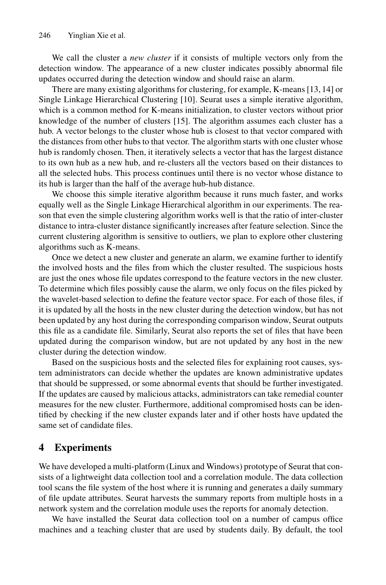We call the cluster a *new cluster* if it consists of multiple vectors only from the detection window. The appearance of a new cluster indicates possibly abnormal file updates occurred during the detection window and should raise an alarm.

There are many existing algorithms for clustering, for example, K-means [13, 14] or Single Linkage Hierarchical Clustering [10]. Seurat uses a simple iterative algorithm, which is a common method for K-means initialization, to cluster vectors without prior knowledge of the number of clusters [15]. The algorithm assumes each cluster has a hub. A vector belongs to the cluster whose hub is closest to that vector compared with the distances from other hubs to that vector. The algorithm starts with one cluster whose hub is randomly chosen. Then, it iteratively selects a vector that has the largest distance to its own hub as a new hub, and re-clusters all the vectors based on their distances to all the selected hubs. This process continues until there is no vector whose distance to its hub is larger than the half of the average hub-hub distance.

We choose this simple iterative algorithm because it runs much faster, and works equally well as the Single Linkage Hierarchical algorithm in our experiments. The reason that even the simple clustering algorithm works well is that the ratio of inter-cluster distance to intra-cluster distance significantly increases after feature selection. Since the current clustering algorithm is sensitive to outliers, we plan to explore other clustering algorithms such as K-means.

Once we detect a new cluster and generate an alarm, we examine further to identify the involved hosts and the files from which the cluster resulted. The suspicious hosts are just the ones whose file updates correspond to the feature vectors in the new cluster. To determine which files possibly cause the alarm, we only focus on the files picked by the wavelet-based selection to define the feature vector space. For each of those files, if it is updated by all the hosts in the new cluster during the detection window, but has not been updated by any host during the corresponding comparison window, Seurat outputs this file as a candidate file. Similarly, Seurat also reports the set of files that have been updated during the comparison window, but are not updated by any host in the new cluster during the detection window.

Based on the suspicious hosts and the selected files for explaining root causes, system administrators can decide whether the updates are known administrative updates that should be suppressed, or some abnormal events that should be further investigated. If the updates are caused by malicious attacks, administrators can take remedial counter measures for the new cluster. Furthermore, additional compromised hosts can be identified by checking if the new cluster expands later and if other hosts have updated the same set of candidate files.

### **4 Experiments**

We have developed a multi-platform (Linux and Windows) prototype of Seurat that consists of a lightweight data collection tool and a correlation module. The data collection tool scans the file system of the host where it is running and generates a daily summary of file update attributes. Seurat harvests the summary reports from multiple hosts in a network system and the correlation module uses the reports for anomaly detection.

We have installed the Seurat data collection tool on a number of campus office machines and a teaching cluster that are used by students daily. By default, the tool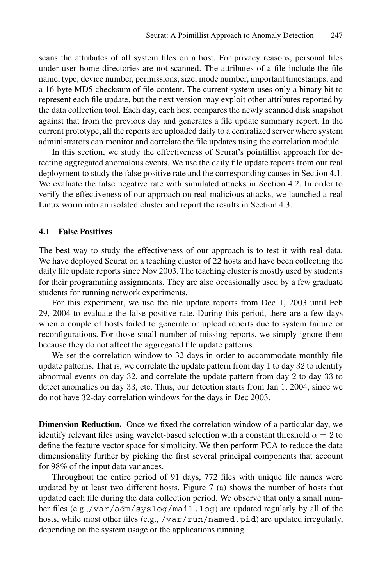scans the attributes of all system files on a host. For privacy reasons, personal files under user home directories are not scanned. The attributes of a file include the file name, type, device number, permissions, size, inode number, important timestamps, and a 16-byte MD5 checksum of file content. The current system uses only a binary bit to represent each file update, but the next version may exploit other attributes reported by the data collection tool. Each day, each host compares the newly scanned disk snapshot against that from the previous day and generates a file update summary report. In the current prototype, all the reports are uploaded daily to a centralized server where system administrators can monitor and correlate the file updates using the correlation module.

In this section, we study the effectiveness of Seurat's pointillist approach for detecting aggregated anomalous events. We use the daily file update reports from our real deployment to study the false positive rate and the corresponding causes in Section 4.1. We evaluate the false negative rate with simulated attacks in Section 4.2. In order to verify the effectiveness of our approach on real malicious attacks, we launched a real Linux worm into an isolated cluster and report the results in Section 4.3.

#### **4.1 False Positives**

The best way to study the effectiveness of our approach is to test it with real data. We have deployed Seurat on a teaching cluster of 22 hosts and have been collecting the daily file update reports since Nov 2003. The teaching cluster is mostly used by students for their programming assignments. They are also occasionally used by a few graduate students for running network experiments.

For this experiment, we use the file update reports from Dec 1, 2003 until Feb 29, 2004 to evaluate the false positive rate. During this period, there are a few days when a couple of hosts failed to generate or upload reports due to system failure or reconfigurations. For those small number of missing reports, we simply ignore them because they do not affect the aggregated file update patterns.

We set the correlation window to 32 days in order to accommodate monthly file update patterns. That is, we correlate the update pattern from day 1 to day 32 to identify abnormal events on day 32, and correlate the update pattern from day 2 to day 33 to detect anomalies on day 33, etc. Thus, our detection starts from Jan 1, 2004, since we do not have 32-day correlation windows for the days in Dec 2003.

**Dimension Reduction.** Once we fixed the correlation window of a particular day, we identify relevant files using wavelet-based selection with a constant threshold  $\alpha = 2$  to define the feature vector space for simplicity. We then perform PCA to reduce the data dimensionality further by picking the first several principal components that account for 98% of the input data variances.

Throughout the entire period of 91 days, 772 files with unique file names were updated by at least two different hosts. Figure 7 (a) shows the number of hosts that updated each file during the data collection period. We observe that only a small number files (e.g.,/var/adm/syslog/mail.log) are updated regularly by all of the hosts, while most other files (e.g., /var/run/named.pid) are updated irregularly, depending on the system usage or the applications running.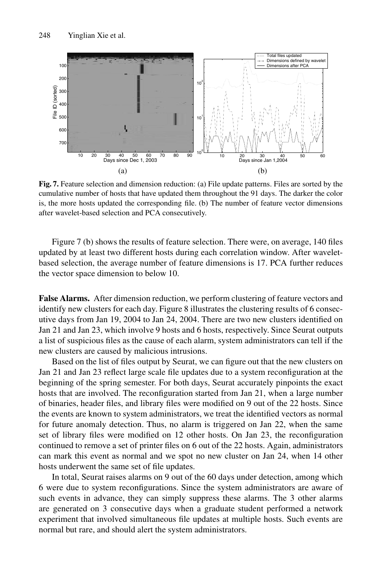

**Fig. 7.** Feature selection and dimension reduction: (a) File update patterns. Files are sorted by the cumulative number of hosts that have updated them throughout the 91 days. The darker the color is, the more hosts updated the corresponding file. (b) The number of feature vector dimensions after wavelet-based selection and PCA consecutively.

Figure 7 (b) shows the results of feature selection. There were, on average, 140 files updated by at least two different hosts during each correlation window. After waveletbased selection, the average number of feature dimensions is 17. PCA further reduces the vector space dimension to below 10.

**False Alarms.** After dimension reduction, we perform clustering of feature vectors and identify new clusters for each day. Figure 8 illustrates the clustering results of 6 consecutive days from Jan 19, 2004 to Jan 24, 2004. There are two new clusters identified on Jan 21 and Jan 23, which involve 9 hosts and 6 hosts, respectively. Since Seurat outputs a list of suspicious files as the cause of each alarm, system administrators can tell if the new clusters are caused by malicious intrusions.

Based on the list of files output by Seurat, we can figure out that the new clusters on Jan 21 and Jan 23 reflect large scale file updates due to a system reconfiguration at the beginning of the spring semester. For both days, Seurat accurately pinpoints the exact hosts that are involved. The reconfiguration started from Jan 21, when a large number of binaries, header files, and library files were modified on 9 out of the 22 hosts. Since the events are known to system administrators, we treat the identified vectors as normal for future anomaly detection. Thus, no alarm is triggered on Jan 22, when the same set of library files were modified on 12 other hosts. On Jan 23, the reconfiguration continued to remove a set of printer files on 6 out of the 22 hosts. Again, administrators can mark this event as normal and we spot no new cluster on Jan 24, when 14 other hosts underwent the same set of file updates.

In total, Seurat raises alarms on 9 out of the 60 days under detection, among which 6 were due to system reconfigurations. Since the system administrators are aware of such events in advance, they can simply suppress these alarms. The 3 other alarms are generated on 3 consecutive days when a graduate student performed a network experiment that involved simultaneous file updates at multiple hosts. Such events are normal but rare, and should alert the system administrators.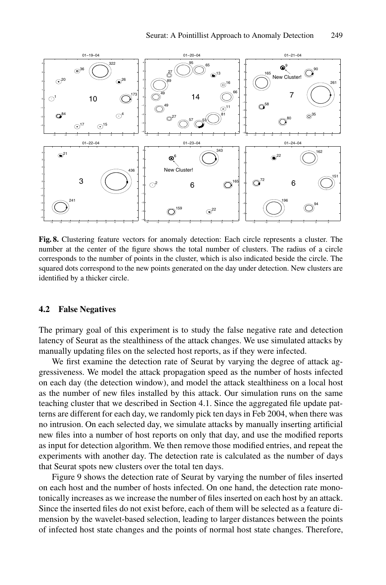

**Fig. 8.** Clustering feature vectors for anomaly detection: Each circle represents a cluster. The number at the center of the figure shows the total number of clusters. The radius of a circle corresponds to the number of points in the cluster, which is also indicated beside the circle. The squared dots correspond to the new points generated on the day under detection. New clusters are identified by a thicker circle.

#### **4.2 False Negatives**

The primary goal of this experiment is to study the false negative rate and detection latency of Seurat as the stealthiness of the attack changes. We use simulated attacks by manually updating files on the selected host reports, as if they were infected.

We first examine the detection rate of Seurat by varying the degree of attack aggressiveness. We model the attack propagation speed as the number of hosts infected on each day (the detection window), and model the attack stealthiness on a local host as the number of new files installed by this attack. Our simulation runs on the same teaching cluster that we described in Section 4.1. Since the aggregated file update patterns are different for each day, we randomly pick ten days in Feb 2004, when there was no intrusion. On each selected day, we simulate attacks by manually inserting artificial new files into a number of host reports on only that day, and use the modified reports as input for detection algorithm. We then remove those modified entries, and repeat the experiments with another day. The detection rate is calculated as the number of days that Seurat spots new clusters over the total ten days.

Figure 9 shows the detection rate of Seurat by varying the number of files inserted on each host and the number of hosts infected. On one hand, the detection rate monotonically increases as we increase the number of files inserted on each host by an attack. Since the inserted files do not exist before, each of them will be selected as a feature dimension by the wavelet-based selection, leading to larger distances between the points of infected host state changes and the points of normal host state changes. Therefore,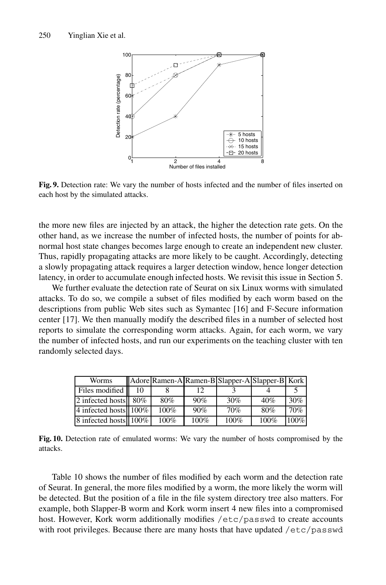

**Fig. 9.** Detection rate: We vary the number of hosts infected and the number of files inserted on each host by the simulated attacks.

the more new files are injected by an attack, the higher the detection rate gets. On the other hand, as we increase the number of infected hosts, the number of points for abnormal host state changes becomes large enough to create an independent new cluster. Thus, rapidly propagating attacks are more likely to be caught. Accordingly, detecting a slowly propagating attack requires a larger detection window, hence longer detection latency, in order to accumulate enough infected hosts. We revisit this issue in Section 5.

We further evaluate the detection rate of Seurat on six Linux worms with simulated attacks. To do so, we compile a subset of files modified by each worm based on the descriptions from public Web sites such as Symantec [16] and F-Secure information center [17]. We then manually modify the described files in a number of selected host reports to simulate the corresponding worm attacks. Again, for each worm, we vary the number of infected hosts, and run our experiments on the teaching cluster with ten randomly selected days.

| Worms                   |    |         |      | Adore Ramen-A Ramen-B Slapper-A Slapper-B Kork |      |         |
|-------------------------|----|---------|------|------------------------------------------------|------|---------|
| Files modified          | 10 |         | 12   |                                                |      |         |
| 2 infected hosts $80\%$ |    | 80%     | 90%  | 30%                                            | 40%  | 30%     |
| 4 infected hosts 100%   |    | 100%    | 90%  | 70%                                            | 80%  | 70%     |
| 8 infected hosts 100%   |    | $100\%$ | 100% | 100%                                           | 100% | $100\%$ |

**Fig. 10.** Detection rate of emulated worms: We vary the number of hosts compromised by the attacks.

Table 10 shows the number of files modified by each worm and the detection rate of Seurat. In general, the more files modified by a worm, the more likely the worm will be detected. But the position of a file in the file system directory tree also matters. For example, both Slapper-B worm and Kork worm insert 4 new files into a compromised host. However, Kork worm additionally modifies /etc/passwd to create accounts with root privileges. Because there are many hosts that have updated  $/etc/passwd$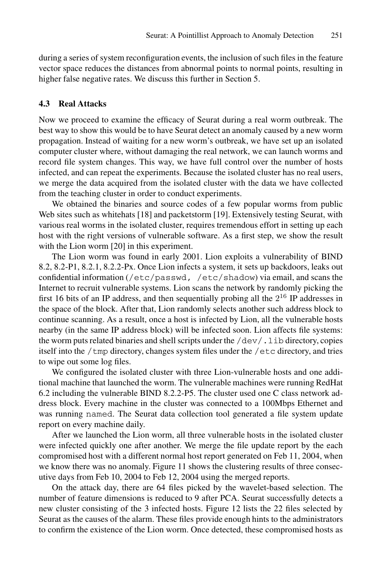during a series of system reconfiguration events, the inclusion of such files in the feature vector space reduces the distances from abnormal points to normal points, resulting in higher false negative rates. We discuss this further in Section 5.

#### **4.3 Real Attacks**

Now we proceed to examine the efficacy of Seurat during a real worm outbreak. The best way to show this would be to have Seurat detect an anomaly caused by a new worm propagation. Instead of waiting for a new worm's outbreak, we have set up an isolated computer cluster where, without damaging the real network, we can launch worms and record file system changes. This way, we have full control over the number of hosts infected, and can repeat the experiments. Because the isolated cluster has no real users, we merge the data acquired from the isolated cluster with the data we have collected from the teaching cluster in order to conduct experiments.

We obtained the binaries and source codes of a few popular worms from public Web sites such as whitehats [18] and packetstorm [19]. Extensively testing Seurat, with various real worms in the isolated cluster, requires tremendous effort in setting up each host with the right versions of vulnerable software. As a first step, we show the result with the Lion worm [20] in this experiment.

The Lion worm was found in early 2001. Lion exploits a vulnerability of BIND 8.2, 8.2-P1, 8.2.1, 8.2.2-Px. Once Lion infects a system, it sets up backdoors, leaks out confidential information (/etc/passwd, /etc/shadow) via email, and scans the Internet to recruit vulnerable systems. Lion scans the network by randomly picking the first 16 bits of an IP address, and then sequentially probing all the  $2^{16}$  IP addresses in the space of the block. After that, Lion randomly selects another such address block to continue scanning. As a result, once a host is infected by Lion, all the vulnerable hosts nearby (in the same IP address block) will be infected soon. Lion affects file systems: the worm puts related binaries and shell scripts under the  $/$  dev $/$ . l ib directory, copies itself into the  $/$ tmp directory, changes system files under the  $/$ etc directory, and tries to wipe out some log files.

We configured the isolated cluster with three Lion-vulnerable hosts and one additional machine that launched the worm. The vulnerable machines were running RedHat 6.2 including the vulnerable BIND 8.2.2-P5. The cluster used one C class network address block. Every machine in the cluster was connected to a 100Mbps Ethernet and was running named. The Seurat data collection tool generated a file system update report on every machine daily.

After we launched the Lion worm, all three vulnerable hosts in the isolated cluster were infected quickly one after another. We merge the file update report by the each compromised host with a different normal host report generated on Feb 11, 2004, when we know there was no anomaly. Figure 11 shows the clustering results of three consecutive days from Feb 10, 2004 to Feb 12, 2004 using the merged reports.

On the attack day, there are 64 files picked by the wavelet-based selection. The number of feature dimensions is reduced to 9 after PCA. Seurat successfully detects a new cluster consisting of the 3 infected hosts. Figure 12 lists the 22 files selected by Seurat as the causes of the alarm. These files provide enough hints to the administrators to confirm the existence of the Lion worm. Once detected, these compromised hosts as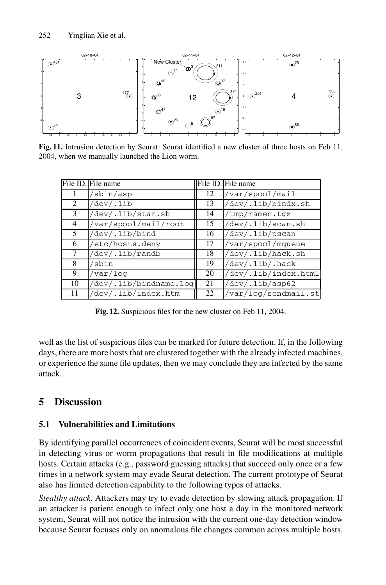

**Fig. 11.** Intrusion detection by Seurat: Seurat identified a new cluster of three hosts on Feb 11, 2004, when we manually launched the Lion worm.

|    | File ID. File name     |    | File ID. File name       |
|----|------------------------|----|--------------------------|
|    | /sbin/asp              | 12 | /var/spool/mail          |
| 2  | /dev/.1ib              | 13 | /dev/.lib/bindx.sh       |
| 3  | /dev/.lib/star.sh      | 14 | /tmp/ramen.tgz           |
| 4  | /var/spool/mail/root   | 15 | /dev/.lib/scan.sh        |
| 5  | /dev/.lib/bind         | 16 | /dev/.lib/pscan          |
| 6  | /etc/hosts.deny        | 17 | /var/spool/mqueue        |
| 7  | /dev/.lib/randb        | 18 | /dev/.lib/hack.sh        |
| 8  | /sbin                  | 19 | /dev/.lib/.hack          |
| 9  | /var/log               | 20 | /dev/.lib/index.html     |
| 10 | /dev/.lib/bindname.log | 21 | $/\text{dev}$ .lib/asp62 |
| 11 | /dev/.lib/index.htm    | 22 | /var/log/sendmail.st     |

**Fig. 12.** Suspicious files for the new cluster on Feb 11, 2004.

well as the list of suspicious files can be marked for future detection. If, in the following days, there are more hosts that are clustered together with the already infected machines, or experience the same file updates, then we may conclude they are infected by the same attack.

# **5 Discussion**

### **5.1 Vulnerabilities and Limitations**

By identifying parallel occurrences of coincident events, Seurat will be most successful in detecting virus or worm propagations that result in file modifications at multiple hosts. Certain attacks (e.g., password guessing attacks) that succeed only once or a few times in a network system may evade Seurat detection. The current prototype of Seurat also has limited detection capability to the following types of attacks.

*Stealthy attack.* Attackers may try to evade detection by slowing attack propagation. If an attacker is patient enough to infect only one host a day in the monitored network system, Seurat will not notice the intrusion with the current one-day detection window because Seurat focuses only on anomalous file changes common across multiple hosts.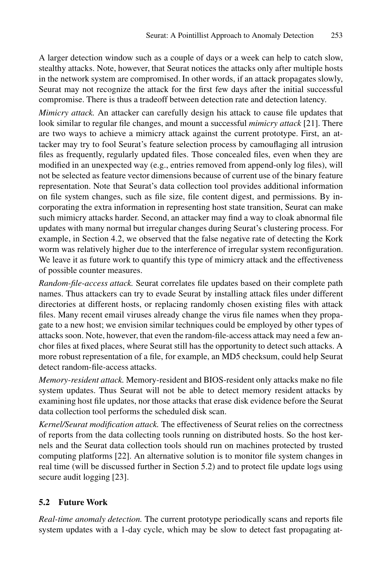A larger detection window such as a couple of days or a week can help to catch slow, stealthy attacks. Note, however, that Seurat notices the attacks only after multiple hosts in the network system are compromised. In other words, if an attack propagates slowly, Seurat may not recognize the attack for the first few days after the initial successful compromise. There is thus a tradeoff between detection rate and detection latency.

*Mimicry attack.* An attacker can carefully design his attack to cause file updates that look similar to regular file changes, and mount a successful *mimicry attack* [21]. There are two ways to achieve a mimicry attack against the current prototype. First, an attacker may try to fool Seurat's feature selection process by camouflaging all intrusion files as frequently, regularly updated files. Those concealed files, even when they are modified in an unexpected way (e.g., entries removed from append-only log files), will not be selected as feature vector dimensions because of current use of the binary feature representation. Note that Seurat's data collection tool provides additional information on file system changes, such as file size, file content digest, and permissions. By incorporating the extra information in representing host state transition, Seurat can make such mimicry attacks harder. Second, an attacker may find a way to cloak abnormal file updates with many normal but irregular changes during Seurat's clustering process. For example, in Section 4.2, we observed that the false negative rate of detecting the Kork worm was relatively higher due to the interference of irregular system reconfiguration. We leave it as future work to quantify this type of mimicry attack and the effectiveness of possible counter measures.

*Random-file-access attack.* Seurat correlates file updates based on their complete path names. Thus attackers can try to evade Seurat by installing attack files under different directories at different hosts, or replacing randomly chosen existing files with attack files. Many recent email viruses already change the virus file names when they propagate to a new host; we envision similar techniques could be employed by other types of attacks soon. Note, however, that even the random-file-access attack may need a few anchor files at fixed places, where Seurat still has the opportunity to detect such attacks. A more robust representation of a file, for example, an MD5 checksum, could help Seurat detect random-file-access attacks.

*Memory-resident attack.* Memory-resident and BIOS-resident only attacks make no file system updates. Thus Seurat will not be able to detect memory resident attacks by examining host file updates, nor those attacks that erase disk evidence before the Seurat data collection tool performs the scheduled disk scan.

*Kernel/Seurat modification attack.* The effectiveness of Seurat relies on the correctness of reports from the data collecting tools running on distributed hosts. So the host kernels and the Seurat data collection tools should run on machines protected by trusted computing platforms [22]. An alternative solution is to monitor file system changes in real time (will be discussed further in Section 5.2) and to protect file update logs using secure audit logging [23].

### **5.2 Future Work**

*Real-time anomaly detection.* The current prototype periodically scans and reports file system updates with a 1-day cycle, which may be slow to detect fast propagating at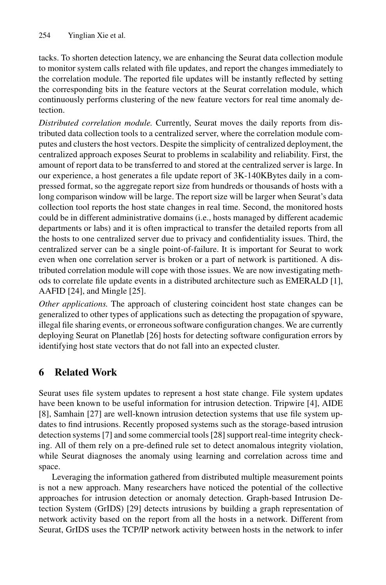tacks. To shorten detection latency, we are enhancing the Seurat data collection module to monitor system calls related with file updates, and report the changes immediately to the correlation module. The reported file updates will be instantly reflected by setting the corresponding bits in the feature vectors at the Seurat correlation module, which continuously performs clustering of the new feature vectors for real time anomaly detection.

*Distributed correlation module.* Currently, Seurat moves the daily reports from distributed data collection tools to a centralized server, where the correlation module computes and clusters the host vectors. Despite the simplicity of centralized deployment, the centralized approach exposes Seurat to problems in scalability and reliability. First, the amount of report data to be transferred to and stored at the centralized server is large. In our experience, a host generates a file update report of 3K-140KBytes daily in a compressed format, so the aggregate report size from hundreds or thousands of hosts with a long comparison window will be large. The report size will be larger when Seurat's data collection tool reports the host state changes in real time. Second, the monitored hosts could be in different administrative domains (i.e., hosts managed by different academic departments or labs) and it is often impractical to transfer the detailed reports from all the hosts to one centralized server due to privacy and confidentiality issues. Third, the centralized server can be a single point-of-failure. It is important for Seurat to work even when one correlation server is broken or a part of network is partitioned. A distributed correlation module will cope with those issues. We are now investigating methods to correlate file update events in a distributed architecture such as EMERALD [1], AAFID [24], and Mingle [25].

*Other applications.* The approach of clustering coincident host state changes can be generalized to other types of applications such as detecting the propagation of spyware, illegal file sharing events, or erroneous software configuration changes. We are currently deploying Seurat on Planetlab [26] hosts for detecting software configuration errors by identifying host state vectors that do not fall into an expected cluster.

# **6 Related Work**

Seurat uses file system updates to represent a host state change. File system updates have been known to be useful information for intrusion detection. Tripwire [4], AIDE [8], Samhain [27] are well-known intrusion detection systems that use file system updates to find intrusions. Recently proposed systems such as the storage-based intrusion detection systems [7] and some commercial tools [28] support real-time integrity checking. All of them rely on a pre-defined rule set to detect anomalous integrity violation, while Seurat diagnoses the anomaly using learning and correlation across time and space.

Leveraging the information gathered from distributed multiple measurement points is not a new approach. Many researchers have noticed the potential of the collective approaches for intrusion detection or anomaly detection. Graph-based Intrusion Detection System (GrIDS) [29] detects intrusions by building a graph representation of network activity based on the report from all the hosts in a network. Different from Seurat, GrIDS uses the TCP/IP network activity between hosts in the network to infer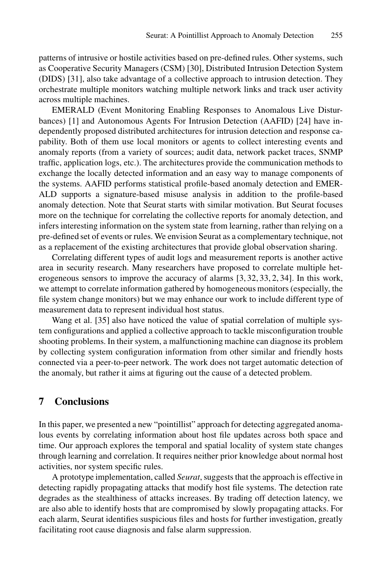patterns of intrusive or hostile activities based on pre-defined rules. Other systems, such as Cooperative Security Managers (CSM) [30], Distributed Intrusion Detection System (DIDS) [31], also take advantage of a collective approach to intrusion detection. They orchestrate multiple monitors watching multiple network links and track user activity across multiple machines.

EMERALD (Event Monitoring Enabling Responses to Anomalous Live Disturbances) [1] and Autonomous Agents For Intrusion Detection (AAFID) [24] have independently proposed distributed architectures for intrusion detection and response capability. Both of them use local monitors or agents to collect interesting events and anomaly reports (from a variety of sources; audit data, network packet traces, SNMP traffic, application logs, etc.). The architectures provide the communication methods to exchange the locally detected information and an easy way to manage components of the systems. AAFID performs statistical profile-based anomaly detection and EMER-ALD supports a signature-based misuse analysis in addition to the profile-based anomaly detection. Note that Seurat starts with similar motivation. But Seurat focuses more on the technique for correlating the collective reports for anomaly detection, and infers interesting information on the system state from learning, rather than relying on a pre-defined set of events or rules. We envision Seurat as a complementary technique, not as a replacement of the existing architectures that provide global observation sharing.

Correlating different types of audit logs and measurement reports is another active area in security research. Many researchers have proposed to correlate multiple heterogeneous sensors to improve the accuracy of alarms [3, 32, 33, 2, 34]. In this work, we attempt to correlate information gathered by homogeneous monitors (especially, the file system change monitors) but we may enhance our work to include different type of measurement data to represent individual host status.

Wang et al. [35] also have noticed the value of spatial correlation of multiple system configurations and applied a collective approach to tackle misconfiguration trouble shooting problems. In their system, a malfunctioning machine can diagnose its problem by collecting system configuration information from other similar and friendly hosts connected via a peer-to-peer network. The work does not target automatic detection of the anomaly, but rather it aims at figuring out the cause of a detected problem.

### **7 Conclusions**

In this paper, we presented a new "pointillist" approach for detecting aggregated anomalous events by correlating information about host file updates across both space and time. Our approach explores the temporal and spatial locality of system state changes through learning and correlation. It requires neither prior knowledge about normal host activities, nor system specific rules.

A prototype implementation, called *Seurat*, suggests that the approach is effective in detecting rapidly propagating attacks that modify host file systems. The detection rate degrades as the stealthiness of attacks increases. By trading off detection latency, we are also able to identify hosts that are compromised by slowly propagating attacks. For each alarm, Seurat identifies suspicious files and hosts for further investigation, greatly facilitating root cause diagnosis and false alarm suppression.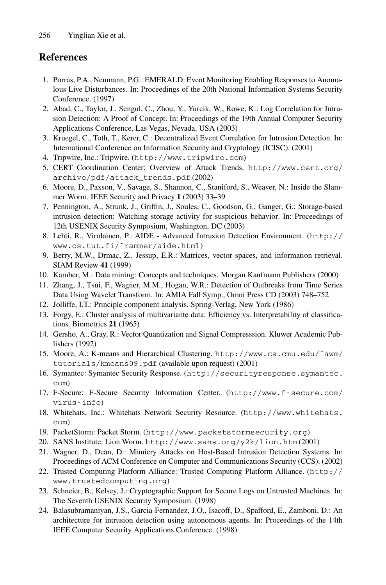## **References**

- 1. Porras, P.A., Neumann, P.G.: EMERALD: Event Monitoring Enabling Responses to Anomalous Live Disturbances. In: Proceedings of the 20th National Information Systems Security Conference. (1997)
- 2. Abad, C., Taylor, J., Sengul, C., Zhou, Y., Yurcik, W., Rowe, K.: Log Correlation for Intrusion Detection: A Proof of Concept. In: Proceedings of the 19th Annual Computer Security Applications Conference, Las Vegas, Nevada, USA (2003)
- 3. Kruegel, C., Toth, T., Kerer, C.: Decentralized Event Correlation for Intrusion Detection. In: International Conference on Information Security and Cryptology (ICISC). (2001)
- 4. Tripwire, Inc.: Tripwire. (http://www.tripwire.com)
- 5. CERT Coordination Center: Overview of Attack Trends. http://www.cert.org/ archive/pdf/attack\_trends.pdf (2002)
- 6. Moore, D., Paxson, V., Savage, S., Shannon, C., Staniford, S., Weaver, N.: Inside the Slammer Worm. IEEE Security and Privacy **1** (2003) 33–39
- 7. Pennington, A., Strunk, J., Griffin, J., Soules, C., Goodson, G., Ganger, G.: Storage-based intrusion detection: Watching storage activity for suspicious behavior. In: Proceedings of 12th USENIX Security Symposium, Washington, DC (2003)
- 8. Lehti, R., Virolainen, P.: AIDE Advanced Intrusion Detection Environment. (http:// www.cs.tut.fi/˜rammer/aide.html)
- 9. Berry, M.W., Drmac, Z., Jessup, E.R.: Matrices, vector spaces, and information retrieval. SIAM Review **41** (1999)
- 10. Kamber, M.: Data mining: Concepts and techniques. Morgan Kaufmann Publishers (2000)
- 11. Zhang, J., Tsui, F., Wagner, M.M., Hogan, W.R.: Detection of Outbreaks from Time Series Data Using Wavelet Transform. In: AMIA Fall Symp., Omni Press CD (2003) 748–752
- 12. Jolliffe, I.T.: Principle component analysis. Spring-Verlag, New York (1986)
- 13. Forgy, E.: Cluster analysis of multivariante data: Efficiency vs. Interpretability of classifications. Biometrics **21** (1965)
- 14. Gersho, A., Gray, R.: Vector Quantization and Signal Compresssion. Kluwer Academic Publishers (1992)
- 15. Moore, A.: K-means and Hierarchical Clustering. http://www.cs.cmu.edu/˜awm/ tutorials/kmeans09.pdf (available upon request) (2001)
- 16. Symantec: Symantec Security Response. (http://securityresponse.symantec. com)
- 17. F-Secure: F-Secure Security Information Center. (http://www.f-secure.com/ virus-info)
- 18. Whitehats, Inc.: Whitehats Network Security Resource. (http://www.whitehats. com)
- 19. PacketStorm: Packet Storm. (http://www.packetstormsecurity.org)
- 20. SANS Institute: Lion Worm. http://www.sans.org/y2k/lion.htm (2001)
- 21. Wagner, D., Dean, D.: Mimicry Attacks on Host-Based Intrusion Detection Systems. In: Proceedings of ACM Conference on Computer and Communications Security (CCS). (2002)
- 22. Trusted Computing Platform Alliance: Trusted Computing Platform Alliance. (http:// www.trustedcomputing.org)
- 23. Schneier, B., Kelsey, J.: Cryptographic Support for Secure Logs on Untrusted Machines. In: The Seventh USENIX Security Symposium. (1998)
- 24. Balasubramaniyan, J.S., Garcia-Fernandez, J.O., Isacoff, D., Spafford, E., Zamboni, D.: An architecture for intrusion detection using autonomous agents. In: Proceedings of the 14th IEEE Computer Security Applications Conference. (1998)